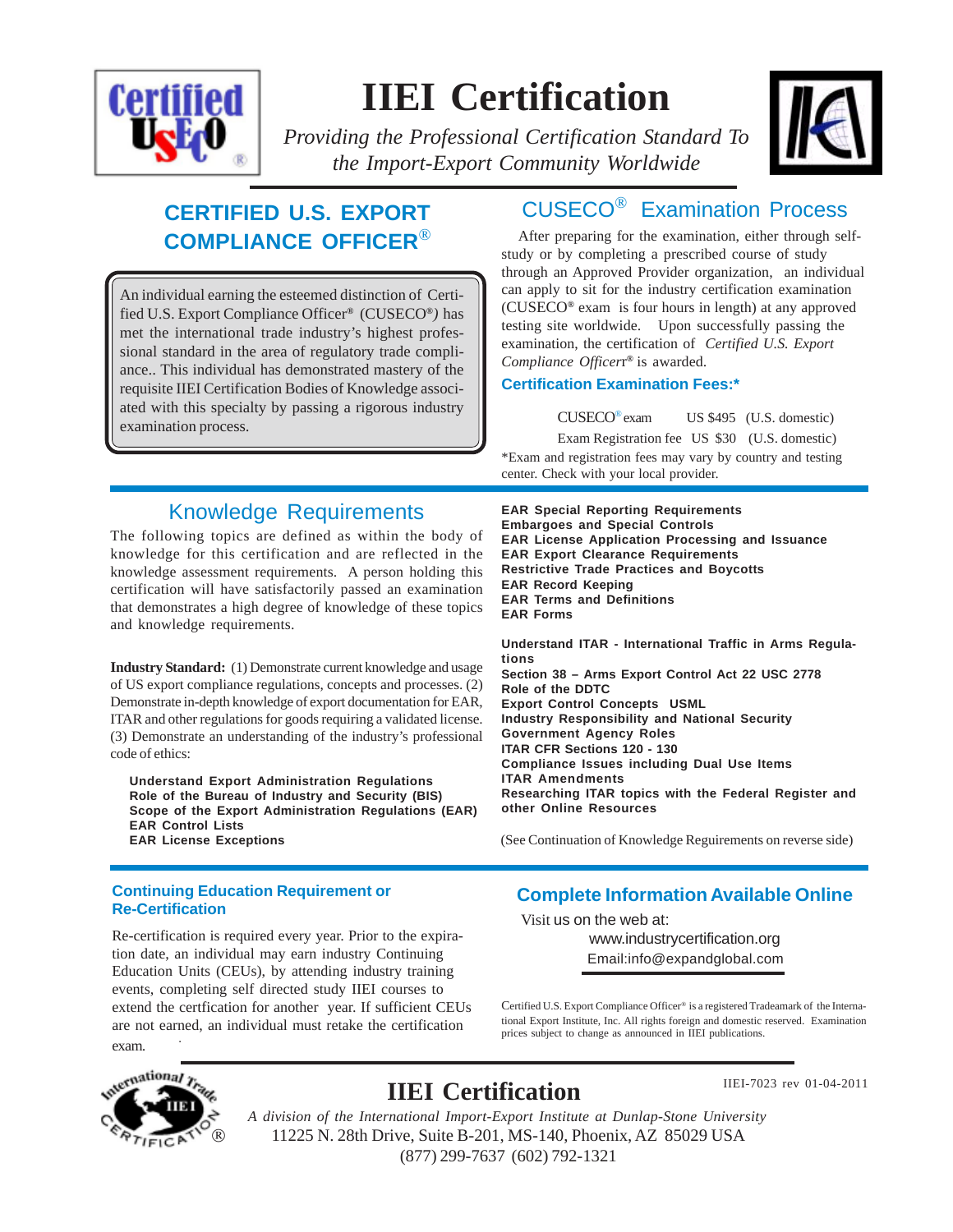

# **IIEI Certification**



*Providing the Professional Certification Standard To the Import-Export Community Worldwide*

## **CERTIFIED U.S. EXPORT COMPLIANCE OFFICER**®

An individual earning the esteemed distinction of Certified U.S. Export Compliance Officer*®* (CUSECO*®)* has met the international trade industry's highest professional standard in the area of regulatory trade compliance.. This individual has demonstrated mastery of the requisite IIEI Certification Bodies of Knowledge associated with this specialty by passing a rigorous industry examination process.

# CUSECO® Examination Process

After preparing for the examination, either through selfstudy or by completing a prescribed course of study through an Approved Provider organization, an individual can apply to sit for the industry certification examination (CUSECO*®* exam is four hours in length) at any approved testing site worldwide. Upon successfully passing the examination, the certification of *Certified U.S. Export Compliance Officer*r *®* is awarded.

### **Certification Examination Fees:\***

**EAR Special Reporting Requirements Embargoes and Special Controls**

**EAR Export Clearance Requirements Restrictive Trade Practices and Boycotts**

**EAR Record Keeping EAR Terms and Definitions**

**EAR Forms**

CUSECO® exam US \$495 (U.S. domestic) Exam Registration fee US \$30 (U.S. domestic) \*Exam and registration fees may vary by country and testing center. Check with your local provider.

**EAR License Application Processing and Issuance**

### Knowledge Requirements

The following topics are defined as within the body of knowledge for this certification and are reflected in the knowledge assessment requirements. A person holding this certification will have satisfactorily passed an examination that demonstrates a high degree of knowledge of these topics and knowledge requirements.

**Industry Standard:** (1) Demonstrate current knowledge and usage of US export compliance regulations, concepts and processes. (2) Demonstrate in-depth knowledge of export documentation for EAR, ITAR and other regulations for goods requiring a validated license. (3) Demonstrate an understanding of the industry's professional code of ethics:

**Understand Export Administration Regulations Role of the Bureau of Industry and Security (BIS) Scope of the Export Administration Regulations (EAR) EAR Control Lists EAR License Exceptions**

**tions Section 38 – Arms Export Control Act 22 USC 2778 Role of the DDTC Export Control Concepts USML Industry Responsibility and National Security Government Agency Roles ITAR CFR Sections 120 - 130 Compliance Issues including Dual Use Items ITAR Amendments Researching ITAR topics with the Federal Register and other Online Resources**

**Understand ITAR - International Traffic in Arms Regula-**

(See Continuation of Knowledge Reguirements on reverse side)

### **Continuing Education Requirement or Re-Certification**

. Re-certification is required every year. Prior to the expiration date, an individual may earn industry Continuing Education Units (CEUs), by attending industry training events, completing self directed study IIEI courses to extend the certfication for another year. If sufficient CEUs are not earned, an individual must retake the certification exam.

### **Complete Information Available Online**

Email:info@expandglobal.com Visit us on the web at: www.industrycertification.org

Certified U.S. Export Compliance Officer® is a registered Tradeamark of the International Export Institute, Inc. All rights foreign and domestic reserved. Examination prices subject to change as announced in IIEI publications.



# **IIEI Certification**

IIEI-7023 rev 01-04-2011

11225 N. 28th Drive, Suite B-201, MS-140, Phoenix, AZ 85029 USA (877) 299-7637 (602) 792-1321 *A division of the International Import-Export Institute at Dunlap-Stone University*